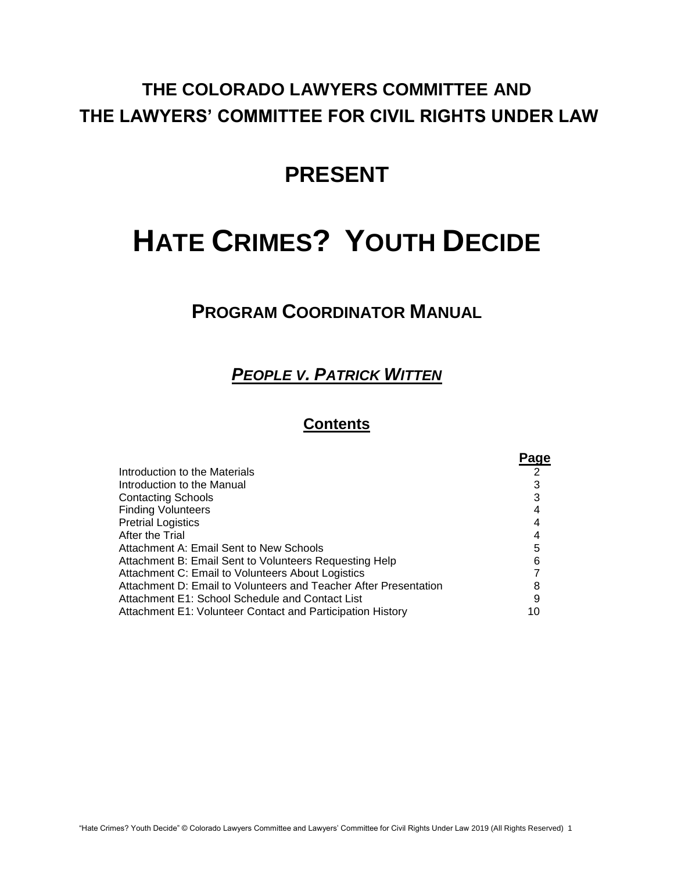# **THE COLORADO LAWYERS COMMITTEE AND THE LAWYERS' COMMITTEE FOR CIVIL RIGHTS UNDER LAW**

# **PRESENT**

# **HATE CRIMES? YOUTH DECIDE**

# **PROGRAM COORDINATOR MANUAL**

# *PEOPLE V. PATRICK WITTEN*

# **Contents**

|                                                                  | Page |
|------------------------------------------------------------------|------|
| Introduction to the Materials                                    |      |
| Introduction to the Manual                                       | 3    |
| <b>Contacting Schools</b>                                        |      |
| <b>Finding Volunteers</b>                                        |      |
| <b>Pretrial Logistics</b>                                        |      |
| After the Trial                                                  |      |
| Attachment A: Email Sent to New Schools                          | 5    |
| Attachment B: Email Sent to Volunteers Requesting Help           | 6    |
| Attachment C: Email to Volunteers About Logistics                |      |
| Attachment D: Email to Volunteers and Teacher After Presentation | 8    |
| Attachment E1: School Schedule and Contact List                  | 9    |
| Attachment E1: Volunteer Contact and Participation History       |      |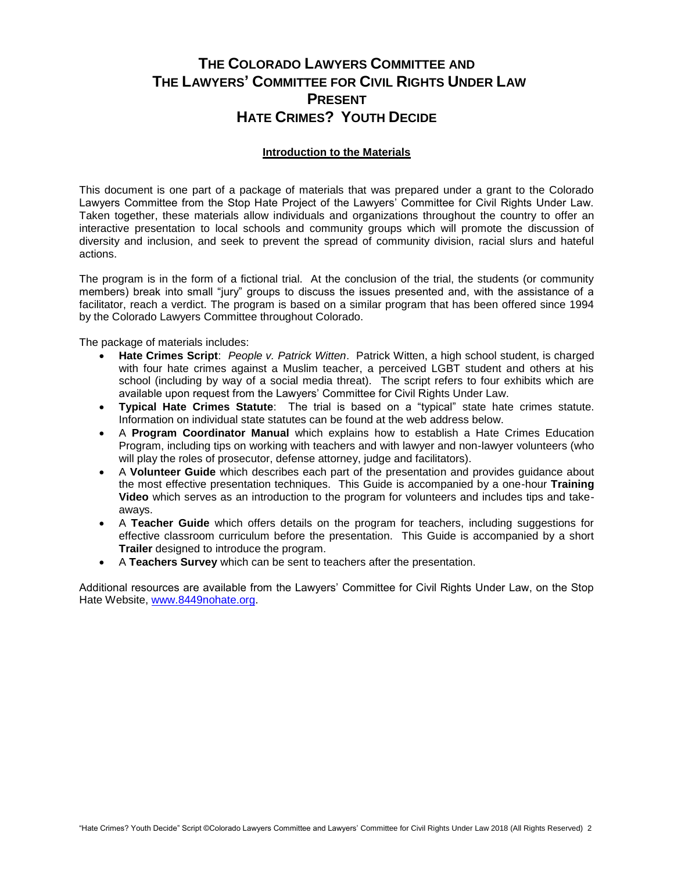# **THE COLORADO LAWYERS COMMITTEE AND THE LAWYERS' COMMITTEE FOR CIVIL RIGHTS UNDER LAW PRESENT HATE CRIMES? YOUTH DECIDE**

#### **Introduction to the Materials**

This document is one part of a package of materials that was prepared under a grant to the Colorado Lawyers Committee from the Stop Hate Project of the Lawyers' Committee for Civil Rights Under Law. Taken together, these materials allow individuals and organizations throughout the country to offer an interactive presentation to local schools and community groups which will promote the discussion of diversity and inclusion, and seek to prevent the spread of community division, racial slurs and hateful actions.

The program is in the form of a fictional trial. At the conclusion of the trial, the students (or community members) break into small "jury" groups to discuss the issues presented and, with the assistance of a facilitator, reach a verdict. The program is based on a similar program that has been offered since 1994 by the Colorado Lawyers Committee throughout Colorado.

The package of materials includes:

- **Hate Crimes Script**: *People v. Patrick Witten*. Patrick Witten, a high school student, is charged with four hate crimes against a Muslim teacher, a perceived LGBT student and others at his school (including by way of a social media threat). The script refers to four exhibits which are available upon request from the Lawyers' Committee for Civil Rights Under Law.
- **Typical Hate Crimes Statute**: The trial is based on a "typical" state hate crimes statute. Information on individual state statutes can be found at the web address below.
- A **Program Coordinator Manual** which explains how to establish a Hate Crimes Education Program, including tips on working with teachers and with lawyer and non-lawyer volunteers (who will play the roles of prosecutor, defense attorney, judge and facilitators).
- A **Volunteer Guide** which describes each part of the presentation and provides guidance about the most effective presentation techniques. This Guide is accompanied by a one-hour **Training Video** which serves as an introduction to the program for volunteers and includes tips and takeaways.
- A **Teacher Guide** which offers details on the program for teachers, including suggestions for effective classroom curriculum before the presentation. This Guide is accompanied by a short **Trailer** designed to introduce the program.
- A **Teachers Survey** which can be sent to teachers after the presentation.

Additional resources are available from the Lawyers' Committee for Civil Rights Under Law, on the Stop Hate Website, [www.8449nohate.org.](http://www.8449nohate.org/)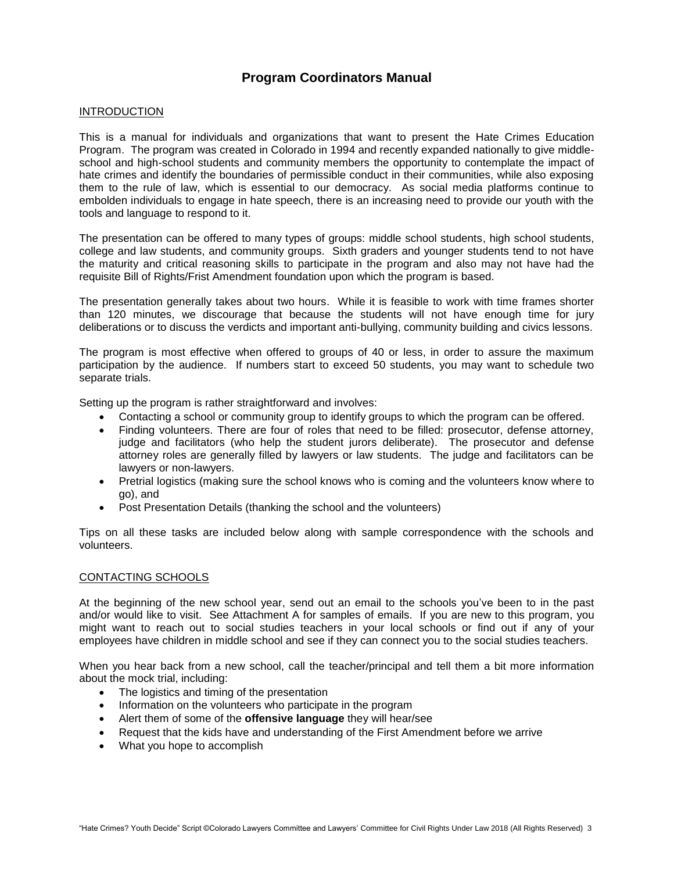## **Program Coordinators Manual**

#### INTRODUCTION

This is a manual for individuals and organizations that want to present the Hate Crimes Education Program. The program was created in Colorado in 1994 and recently expanded nationally to give middleschool and high-school students and community members the opportunity to contemplate the impact of hate crimes and identify the boundaries of permissible conduct in their communities, while also exposing them to the rule of law, which is essential to our democracy. As social media platforms continue to embolden individuals to engage in hate speech, there is an increasing need to provide our youth with the tools and language to respond to it.

The presentation can be offered to many types of groups: middle school students, high school students, college and law students, and community groups. Sixth graders and younger students tend to not have the maturity and critical reasoning skills to participate in the program and also may not have had the requisite Bill of Rights/Frist Amendment foundation upon which the program is based.

The presentation generally takes about two hours. While it is feasible to work with time frames shorter than 120 minutes, we discourage that because the students will not have enough time for jury deliberations or to discuss the verdicts and important anti-bullying, community building and civics lessons.

The program is most effective when offered to groups of 40 or less, in order to assure the maximum participation by the audience. If numbers start to exceed 50 students, you may want to schedule two separate trials.

Setting up the program is rather straightforward and involves:

- Contacting a school or community group to identify groups to which the program can be offered.
- Finding volunteers. There are four of roles that need to be filled: prosecutor, defense attorney, judge and facilitators (who help the student jurors deliberate). The prosecutor and defense attorney roles are generally filled by lawyers or law students. The judge and facilitators can be lawyers or non-lawyers.
- Pretrial logistics (making sure the school knows who is coming and the volunteers know where to go), and
- Post Presentation Details (thanking the school and the volunteers)

Tips on all these tasks are included below along with sample correspondence with the schools and volunteers.

#### CONTACTING SCHOOLS

At the beginning of the new school year, send out an email to the schools you've been to in the past and/or would like to visit. See Attachment A for samples of emails. If you are new to this program, you might want to reach out to social studies teachers in your local schools or find out if any of your employees have children in middle school and see if they can connect you to the social studies teachers.

When you hear back from a new school, call the teacher/principal and tell them a bit more information about the mock trial, including:

- The logistics and timing of the presentation
- Information on the volunteers who participate in the program
- Alert them of some of the **offensive language** they will hear/see
- Request that the kids have and understanding of the First Amendment before we arrive
- What you hope to accomplish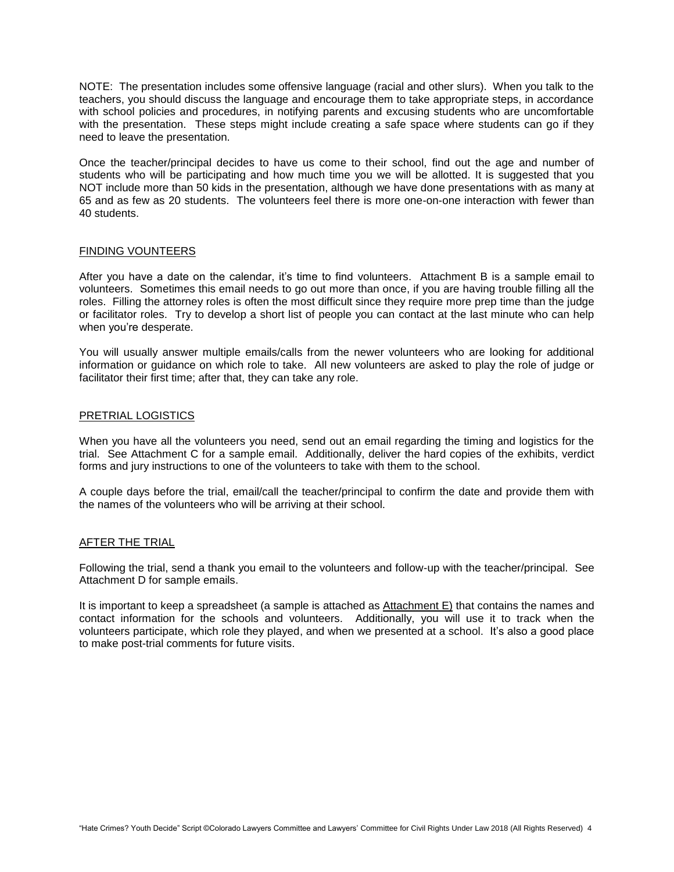NOTE: The presentation includes some offensive language (racial and other slurs). When you talk to the teachers, you should discuss the language and encourage them to take appropriate steps, in accordance with school policies and procedures, in notifying parents and excusing students who are uncomfortable with the presentation. These steps might include creating a safe space where students can go if they need to leave the presentation.

Once the teacher/principal decides to have us come to their school, find out the age and number of students who will be participating and how much time you we will be allotted. It is suggested that you NOT include more than 50 kids in the presentation, although we have done presentations with as many at 65 and as few as 20 students. The volunteers feel there is more one-on-one interaction with fewer than 40 students.

#### FINDING VOUNTEERS

After you have a date on the calendar, it's time to find volunteers. Attachment B is a sample email to volunteers. Sometimes this email needs to go out more than once, if you are having trouble filling all the roles. Filling the attorney roles is often the most difficult since they require more prep time than the judge or facilitator roles. Try to develop a short list of people you can contact at the last minute who can help when you're desperate.

You will usually answer multiple emails/calls from the newer volunteers who are looking for additional information or guidance on which role to take. All new volunteers are asked to play the role of judge or facilitator their first time; after that, they can take any role.

#### PRETRIAL LOGISTICS

When you have all the volunteers you need, send out an email regarding the timing and logistics for the trial. See Attachment C for a sample email. Additionally, deliver the hard copies of the exhibits, verdict forms and jury instructions to one of the volunteers to take with them to the school.

A couple days before the trial, email/call the teacher/principal to confirm the date and provide them with the names of the volunteers who will be arriving at their school.

#### AFTER THE TRIAL

Following the trial, send a thank you email to the volunteers and follow-up with the teacher/principal. See Attachment D for sample emails.

It is important to keep a spreadsheet (a sample is attached as Attachment E) that contains the names and contact information for the schools and volunteers. Additionally, you will use it to track when the volunteers participate, which role they played, and when we presented at a school. It's also a good place to make post-trial comments for future visits.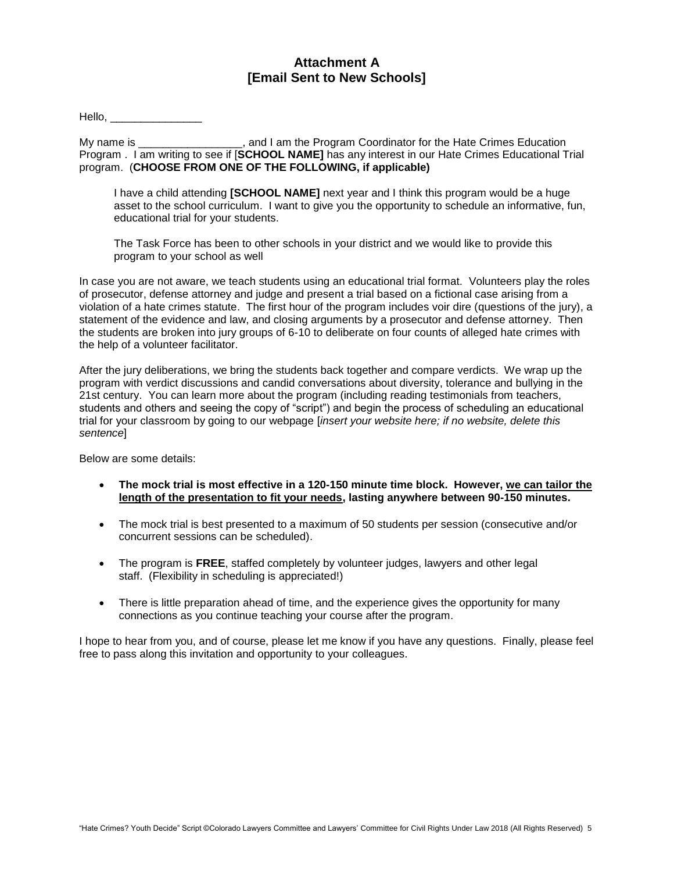### **Attachment A [Email Sent to New Schools]**

Hello,

My name is The Summan Hate Program Coordinator for the Hate Crimes Education Program . I am writing to see if [**SCHOOL NAME]** has any interest in our Hate Crimes Educational Trial program. (**CHOOSE FROM ONE OF THE FOLLOWING, if applicable)**

I have a child attending **[SCHOOL NAME]** next year and I think this program would be a huge asset to the school curriculum. I want to give you the opportunity to schedule an informative, fun, educational trial for your students.

The Task Force has been to other schools in your district and we would like to provide this program to your school as well

In case you are not aware, we teach students using an educational trial format. Volunteers play the roles of prosecutor, defense attorney and judge and present a trial based on a fictional case arising from a violation of a hate crimes statute. The first hour of the program includes voir dire (questions of the jury), a statement of the evidence and law, and closing arguments by a prosecutor and defense attorney. Then the students are broken into jury groups of 6-10 to deliberate on four counts of alleged hate crimes with the help of a volunteer facilitator.

After the jury deliberations, we bring the students back together and compare verdicts. We wrap up the program with verdict discussions and candid conversations about diversity, tolerance and bullying in the 21st century. You can learn more about the program (including reading testimonials from teachers, students and others and seeing the copy of "script") and begin the process of scheduling an educational trial for your classroom by going to our webpage [*insert your website here; if no website, delete this sentence*]

Below are some details:

- **The mock trial is most effective in a 120-150 minute time block. However, we can tailor the length of the presentation to fit your needs, lasting anywhere between 90-150 minutes.**
- The mock trial is best presented to a maximum of 50 students per session (consecutive and/or concurrent sessions can be scheduled).
- The program is **FREE**, staffed completely by volunteer judges, lawyers and other legal staff. (Flexibility in scheduling is appreciated!)
- There is little preparation ahead of time, and the experience gives the opportunity for many connections as you continue teaching your course after the program.

I hope to hear from you, and of course, please let me know if you have any questions. Finally, please feel free to pass along this invitation and opportunity to your colleagues.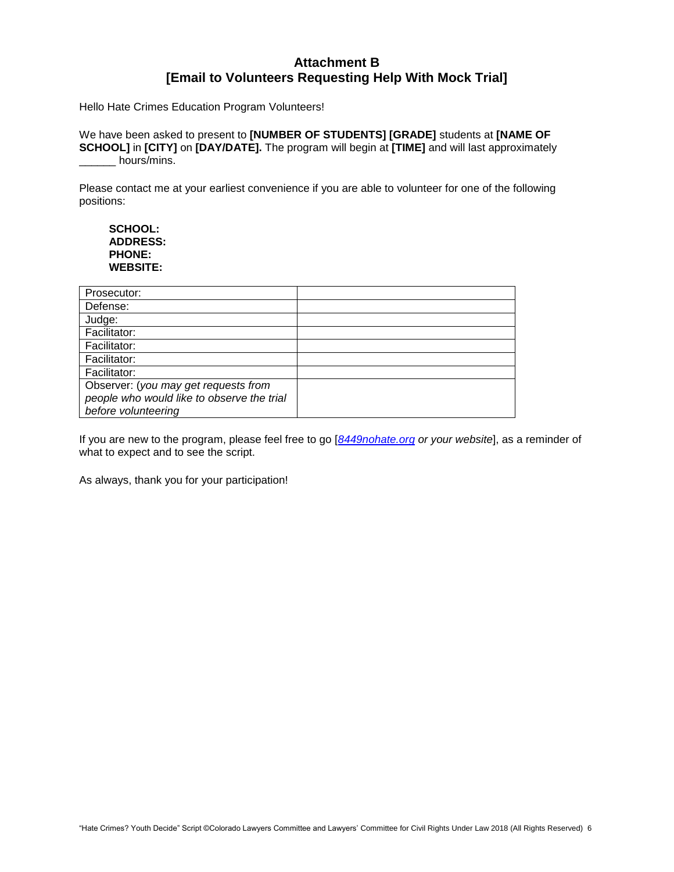## **Attachment B [Email to Volunteers Requesting Help With Mock Trial]**

Hello Hate Crimes Education Program Volunteers!

We have been asked to present to **[NUMBER OF STUDENTS] [GRADE]** students at **[NAME OF SCHOOL]** in **[CITY]** on **[DAY/DATE].** The program will begin at **[TIME]** and will last approximately hours/mins.

Please contact me at your earliest convenience if you are able to volunteer for one of the following positions:

**SCHOOL: ADDRESS: PHONE: WEBSITE:**

| Prosecutor:                                |  |
|--------------------------------------------|--|
| Defense:                                   |  |
| Judge:                                     |  |
| Facilitator:                               |  |
| Facilitator:                               |  |
| Facilitator:                               |  |
| Facilitator:                               |  |
| Observer: (you may get requests from       |  |
| people who would like to observe the trial |  |
| before volunteering                        |  |

If you are new to the program, please feel free to go [*[8449nohate.org](https://8449nohate.org/) or your website*], as a reminder of what to expect and to see the script.

As always, thank you for your participation!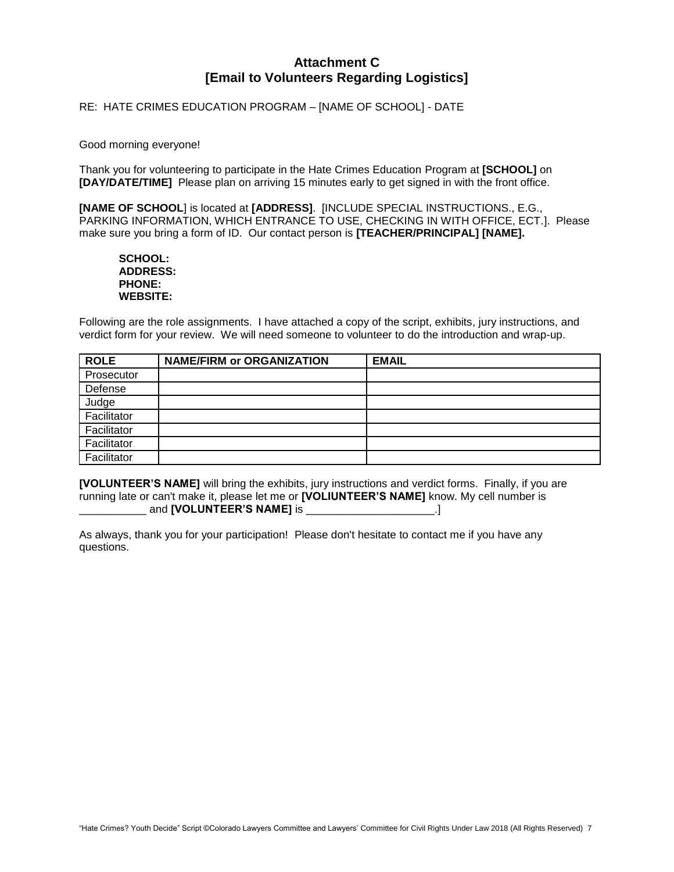## **Attachment C [Email to Volunteers Regarding Logistics]**

RE: HATE CRIMES EDUCATION PROGRAM – [NAME OF SCHOOL] - DATE

#### Good morning everyone!

Thank you for volunteering to participate in the Hate Crimes Education Program at **[SCHOOL]** on **[DAY/DATE/TIME]** Please plan on arriving 15 minutes early to get signed in with the front office.

**[NAME OF SCHOOL**] is located at **[ADDRESS]**. [INCLUDE SPECIAL INSTRUCTIONS., E.G., PARKING INFORMATION, WHICH ENTRANCE TO USE, CHECKING IN WITH OFFICE, ECT.]. Please make sure you bring a form of ID. Our contact person is **[TEACHER/PRINCIPAL] [NAME].** 

#### **SCHOOL: ADDRESS: PHONE: WEBSITE:**

Following are the role assignments. I have attached a copy of the script, exhibits, jury instructions, and verdict form for your review. We will need someone to volunteer to do the introduction and wrap-up.

| <b>ROLE</b> | <b>NAME/FIRM or ORGANIZATION</b> | <b>EMAIL</b> |
|-------------|----------------------------------|--------------|
| Prosecutor  |                                  |              |
| Defense     |                                  |              |
| Judge       |                                  |              |
| Facilitator |                                  |              |
| Facilitator |                                  |              |
| Facilitator |                                  |              |
| Facilitator |                                  |              |

**[VOLUNTEER'S NAME]** will bring the exhibits, jury instructions and verdict forms. Finally, if you are running late or can't make it, please let me or **[VOLIUNTEER'S NAME]** know. My cell number is \_\_\_\_\_\_\_\_\_\_\_ and **[VOLUNTEER'S NAME]** is \_\_\_\_\_\_\_\_\_\_\_\_\_\_\_\_\_\_\_\_\_.]

As always, thank you for your participation! Please don't hesitate to contact me if you have any questions.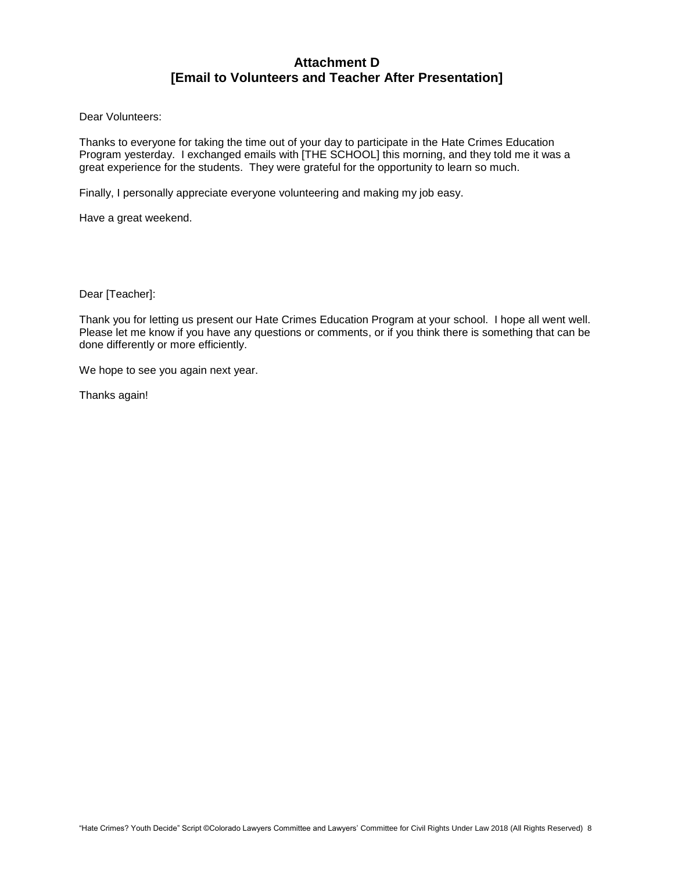## **Attachment D [Email to Volunteers and Teacher After Presentation]**

Dear Volunteers:

Thanks to everyone for taking the time out of your day to participate in the Hate Crimes Education Program yesterday. I exchanged emails with [THE SCHOOL] this morning, and they told me it was a great experience for the students. They were grateful for the opportunity to learn so much.

Finally, I personally appreciate everyone volunteering and making my job easy.

Have a great weekend.

Dear [Teacher]:

Thank you for letting us present our Hate Crimes Education Program at your school. I hope all went well. Please let me know if you have any questions or comments, or if you think there is something that can be done differently or more efficiently.

We hope to see you again next year.

Thanks again!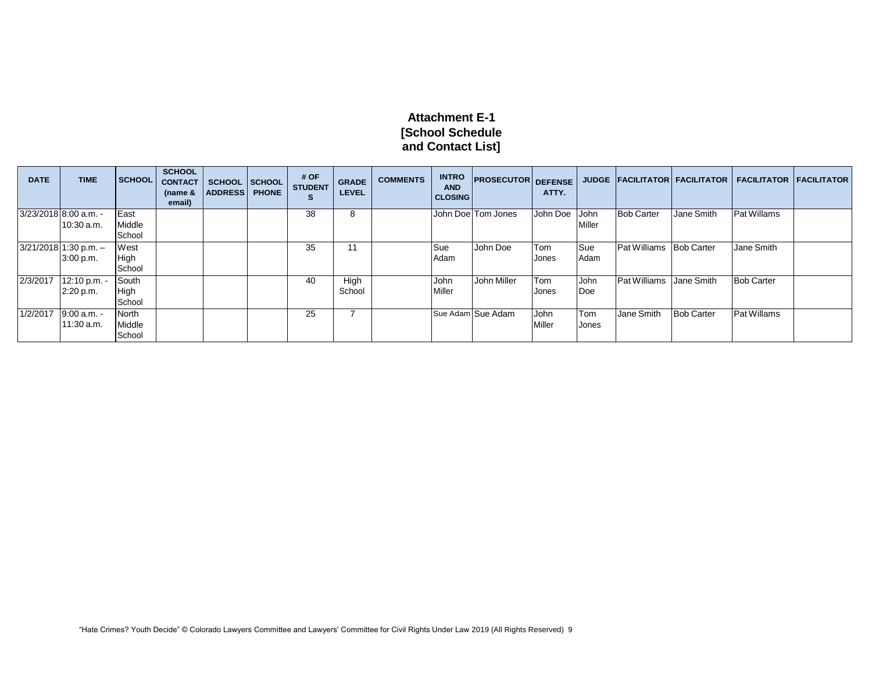## **Attachment E-1 [School Schedule and Contact List]**

| <b>DATE</b> | <b>TIME</b>             | <b>SCHOOL</b> | <b>SCHOOL</b><br><b>CONTACT</b><br>(name $&$<br>email) | <b>SCHOOL</b><br><b>ADDRESS</b> | <b>SCHOOL</b><br><b>PHONE</b> | # OF<br><b>STUDENT</b><br>S | <b>GRADE</b><br><b>LEVEL</b> | <b>COMMENTS</b> | <b>INTRO</b><br><b>AND</b><br><b>CLOSING</b> | <b>PROSECUTOR DEFENSE</b> | ATTY.         |        |                                |                   | JUDGE FACILITATOR FACILITATOR FACILITATOR FACILITATOR |  |
|-------------|-------------------------|---------------|--------------------------------------------------------|---------------------------------|-------------------------------|-----------------------------|------------------------------|-----------------|----------------------------------------------|---------------------------|---------------|--------|--------------------------------|-------------------|-------------------------------------------------------|--|
|             | 3/23/2018 8:00 a.m. -   | East          |                                                        |                                 |                               | 38                          | 8                            |                 |                                              | John Doe Tom Jones        | John Doe John |        | <b>Bob Carter</b>              | Jane Smith        | Pat Willams                                           |  |
|             | 10:30 a.m.              | Middle        |                                                        |                                 |                               |                             |                              |                 |                                              |                           |               | Miller |                                |                   |                                                       |  |
|             |                         | School        |                                                        |                                 |                               |                             |                              |                 |                                              |                           |               |        |                                |                   |                                                       |  |
|             | $3/21/2018$ 1:30 p.m. - | West          |                                                        |                                 |                               | 35                          | 11                           |                 | Sue                                          | John Doe                  | Tom           | Sue    | <b>Pat Williams Bob Carter</b> |                   | Jane Smith                                            |  |
|             | 3:00 p.m.               | High          |                                                        |                                 |                               |                             |                              |                 | Adam                                         |                           | Jones         | Adam   |                                |                   |                                                       |  |
|             |                         | School        |                                                        |                                 |                               |                             |                              |                 |                                              |                           |               |        |                                |                   |                                                       |  |
| 2/3/2017    | 12:10 p.m.              | South         |                                                        |                                 |                               | 40                          | High                         |                 | John                                         | <b>John Miller</b>        | Tom           | John   | <b>Pat Williams</b> Jane Smith |                   | <b>Bob Carter</b>                                     |  |
|             | 2:20 p.m.               | High          |                                                        |                                 |                               |                             | School                       |                 | Miller                                       |                           | Jones         | Doe    |                                |                   |                                                       |  |
|             |                         | School        |                                                        |                                 |                               |                             |                              |                 |                                              |                           |               |        |                                |                   |                                                       |  |
| 1/2/2017    | 9:00 a.m. -             | North         |                                                        |                                 |                               | 25                          |                              |                 |                                              | Sue Adam Sue Adam         | John          | Tom    | Jane Smith                     | <b>Bob Carter</b> | Pat Willams                                           |  |
|             | 11:30 a.m.              | Middle        |                                                        |                                 |                               |                             |                              |                 |                                              |                           | Miller        | Jones  |                                |                   |                                                       |  |
|             |                         | School        |                                                        |                                 |                               |                             |                              |                 |                                              |                           |               |        |                                |                   |                                                       |  |